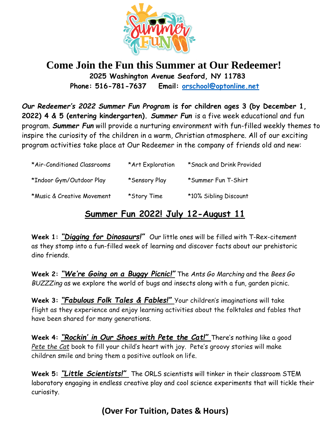

## **Come Join the Fun this Summer at Our Redeemer! 2025 Washington Avenue Seaford, NY 11783 Phone: 516-781-7637 Email: [orschool@optonline.net](mailto:orschool@optonline.net)**

*Our Redeemer's 2022 Summer Fun Program* **is for children ages 3 (by December 1, 2022) 4 & 5 (entering kindergarten).** *Summer Fun* is a five week educational and fun program. *Summer Fun* will provide a nurturing environment with fun-filled weekly themes to inspire the curiosity of the children in a warm, Christian atmosphere. All of our exciting program activities take place at Our Redeemer in the company of friends old and new:

| *Air-Conditioned Classrooms | *Art Exploration | *Snack and Drink Provided |
|-----------------------------|------------------|---------------------------|
| *Indoor Gym/Outdoor Play    | *Sensory Play    | *Summer Fun T-Shirt       |
| *Music & Creative Movement  | *Story Time      | *10% Sibling Discount     |

## **Summer Fun 2022! July 12-August 11**

**Week 1:** *"Digging for Dinosaurs!"* Our little ones will be filled with T-Rex-citement as they stomp into a fun-filled week of learning and discover facts about our prehistoric dino friends.

**Week 2:** *"We're Going on a Buggy Picnic!"* The *Ants Go Marching* and the *Bees Go BUZZZing* as we explore the world of bugs and insects along with a fun, garden picnic.

**Week 3:** *"Fabulous Folk Tales & Fables!"* Your children's imaginations will take flight as they experience and enjoy learning activities about the folktales and fables that have been shared for many generations.

**Week 4:** *"Rockin' in Our Shoes with Pete the Cat!"* There's nothing like a good *Pete the Cat* book to fill your child's heart with joy. Pete's groovy stories will make children smile and bring them a positive outlook on life.

**Week 5:** *"Little Scientists!"* The ORLS scientists will tinker in their classroom STEM laboratory engaging in endless creative play and cool science experiments that will tickle their curiosity.

## **(Over For Tuition, Dates & Hours)**